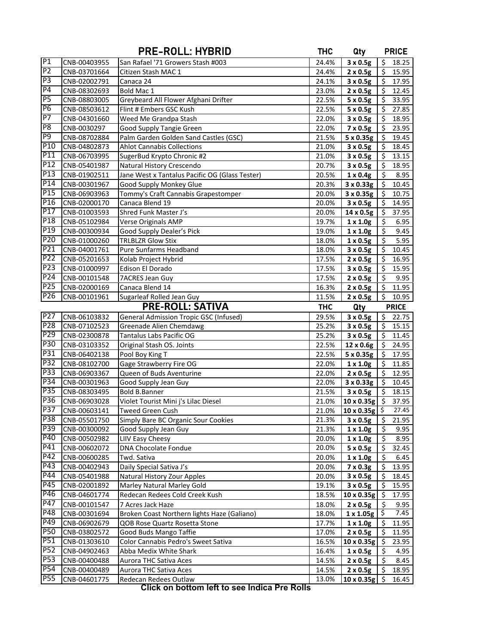|                  |                              | <b>PRE-ROLL: HYBRID</b>                                     | <b>THC</b>     | Qty                                |                             | <b>PRICE</b>   |
|------------------|------------------------------|-------------------------------------------------------------|----------------|------------------------------------|-----------------------------|----------------|
| P1               | CNB-00403955                 | San Rafael '71 Growers Stash #003                           | 24.4%          | 3 x 0.5g                           | \$                          | 18.25          |
| P <sub>2</sub>   | CNB-03701664                 | Citizen Stash MAC 1                                         | 24.4%          | $2 \times 0.5g$                    | \$                          | 15.95          |
| P <sub>3</sub>   | CNB-02002791                 | Canaca 24                                                   | 24.1%          | $3 \times 0.5g$                    | \$                          | 17.95          |
| P <sub>4</sub>   | CNB-08302693                 | Bold Mac 1                                                  | 23.0%          | $2 \times 0.5g$                    | \$                          | 12.45          |
| P <sub>5</sub>   | CNB-08803005                 | Greybeard All Flower Afghani Drifter                        | 22.5%          | $5 \times 0.5g$                    | $\zeta$                     | 33.95          |
| P <sub>6</sub>   | CNB-08503612                 | Flint # Embers GSC Kush                                     | 22.5%          | 5 x 0.5g                           | \$                          | 27.85          |
| $\overline{P}$   | CNB-04301660                 | Weed Me Grandpa Stash                                       | 22.0%          | 3 x 0.5g                           | $\zeta$                     | 18.95          |
| P <sub>8</sub>   | CNB-0030297                  | Good Supply Tangie Green                                    | 22.0%          | $7 \times 0.5g$                    | $\zeta$                     | 23.95          |
| P <sub>9</sub>   | CNB-08702884                 | Palm Garden Golden Sand Castles (GSC)                       | 21.5%          | 5 x 0.35g                          | $\frac{1}{2}$               | 19.45          |
| P <sub>10</sub>  | CNB-04802873                 | <b>Ahlot Cannabis Collections</b>                           | 21.0%          | 3 x 0.5g                           | $\frac{1}{2}$               | 18.45          |
| P <sub>11</sub>  | CNB-06703995                 | SugerBud Krypto Chronic #2                                  | 21.0%          | $3 \times 0.5g$                    | \$                          | 13.15          |
| P <sub>12</sub>  | CNB-05401987                 | Natural History Crescendo                                   | 20.7%          | 3 x 0.5g                           | \$                          | 18.95          |
| P <sub>13</sub>  | CNB-01902511                 | Jane West x Tantalus Pacific OG (Glass Tester)              | 20.5%          | $1 \times 0.4g$                    | \$                          | 8.95           |
| P14              | CNB-00301967                 | Good Supply Monkey Glue                                     | 20.3%          | $3 \times 0.33g$                   | \$                          | 10.45          |
| P <sub>15</sub>  | CNB-06903963                 | Tommy's Craft Cannabis Grapestomper                         | 20.0%          | $3 \times 0.35g$                   | -\$                         | 10.75          |
| P <sub>16</sub>  | CNB-02000170                 | Canaca Blend 19                                             | 20.0%          | $3 \times 0.5g$                    | \$                          | 14.95          |
| P <sub>17</sub>  | CNB-01003593                 | Shred Funk Master J's                                       | 20.0%          | 14 x 0.5g                          | \$                          | 37.95          |
| P <sub>18</sub>  | CNB-05102984                 | Verse Originals AMP                                         | 19.7%          | $1 \times 1.0g$                    | \$                          | 6.95           |
| P <sub>19</sub>  | CNB-00300934                 | Good Supply Dealer's Pick                                   | 19.0%          | $1 \times 1.0g$                    | \$                          | 9.45           |
| P <sub>20</sub>  | CNB-01000260                 | <b>TRLBLZR Glow Stix</b>                                    | 18.0%          | $1 \times 0.5g$                    | \$                          | 5.95           |
| P <sub>21</sub>  | CNB-04001761                 | Pure Sunfarms Headband                                      | 18.0%          | $3 \times 0.5g$                    | $\frac{1}{2}$               | 10.45          |
| P <sub>22</sub>  | CNB-05201653                 | Kolab Project Hybrid                                        | 17.5%          | $2 \times 0.5g$                    | $\frac{1}{2}$               | 16.95          |
| P <sub>23</sub>  | CNB-01000997                 | Edison El Dorado                                            | 17.5%          | 3 x 0.5g                           | \$                          | 15.95          |
| P24              | CNB-00101548                 | 7ACRES Jean Guy                                             | 17.5%          | $2 \times 0.5g$                    | \$                          | 9.95           |
| P <sub>25</sub>  | CNB-02000169                 | Canaca Blend 14                                             | 16.3%          | $2 \times 0.5g$                    | \$                          | 11.95          |
| P <sub>26</sub>  | CNB-00101961                 | Sugarleaf Rolled Jean Guy                                   | 11.5%          | $2 \times 0.5g$                    | \$                          | 10.95          |
|                  |                              | <b>PRE-ROLL: SATIVA</b>                                     | <b>THC</b>     | Qty                                |                             | <b>PRICE</b>   |
| P <sub>27</sub>  | CNB-06103832                 | <b>General Admission Tropic GSC (Infused)</b>               | 29.5%          | 3 x 0.5g                           | \$                          | 22.75          |
| P <sub>28</sub>  | CNB-07102523                 | Greenade Alien Chemdawg                                     | 25.2%          | $3 \times 0.5g$                    | \$                          | 15.15          |
| P <sub>29</sub>  | CNB-02300878                 | Tantalus Labs Pacific OG                                    | 25.2%          | $3 \times 0.5g$                    | \$                          | 11.45          |
| P30<br>P31       | CNB-03103352                 | Original Stash OS. Joints                                   | 22.5%          | 12 x 0.6g                          | $\frac{1}{2}$               | 24.95          |
| P32              | CNB-06402138                 | Pool Boy King T                                             | 22.5%          | 5 x 0.35g                          | $\ddot{\phi}$               | 17.95          |
| P33              | CNB-08102700                 | Gage Strawberry Fire OG                                     | 22.0%          | $1 \times 1.0g$                    | $\frac{1}{2}$               | 11.85          |
| P34              | CNB-06903367                 | Queen of Buds Aventurine                                    | 22.0%          | $2 \times 0.5g$                    | $\zeta$                     | 12.95          |
| P35              | CNB-00301963                 | Good Supply Jean Guy                                        | 22.0%<br>21.5% | $3 \times 0.33g$                   | $\frac{1}{2}$<br>$\sqrt{5}$ | 10.45          |
| P36              | CNB-08303495                 | Bold B.Banner<br>Violet Tourist Mini j's Lilac Diesel       |                | $3 \times 0.5g$                    |                             | 18.15<br>37.95 |
| P37              | CNB-06903028                 |                                                             | 21.0%          | $10 \times 0.35g$ \$               |                             | 27.45          |
| P38              | CNB-00603141                 | Tweed Green Cush                                            | 21.0%          | $10 \times 0.35g$ \$               | \$                          |                |
| P39              | CNB-05501750                 | Simply Bare BC Organic Sour Cookies<br>Good Supply Jean Guy | 21.3%<br>21.3% | $3 \times 0.5g$                    | \$                          | 21.95<br>9.95  |
| P40              | CNB-00300092<br>CNB-00502982 | LIIV Easy Cheesy                                            | 20.0%          | $1 \times 1.0g$<br>$1 \times 1.0g$ | \$                          | 8.95           |
| $P\overline{41}$ | CNB-00602072                 | DNA Chocolate Fondue                                        | 20.0%          | 5 x 0.5g                           | \$                          | 32.45          |
| P42              | CNB-00600285                 | Twd. Sativa                                                 | 20.0%          | $1 \times 1.0g$                    | \$                          | 6.45           |
| P43              | CNB-00402943                 | Daily Special Sativa J's                                    | 20.0%          | 7 x 0.3g                           | \$                          | 13.95          |
| P44              | CNB-05401988                 | Natural History Zour Apples                                 | 20.0%          | $3 \times 0.5g$                    | \$                          | 18.45          |
| P45              | CNB-02001892                 | Marley Natural Marley Gold                                  | 19.1%          | $3 \times 0.5g$                    | \$                          | 15.95          |
| P46              | CNB-04601774                 | Redecan Redees Cold Creek Kush                              | 18.5%          | 10 x 0.35g                         | -\$                         | 17.95          |
| P47              | CNB-00101547                 | 7 Acres Jack Haze                                           | 18.0%          | $2 \times 0.5g$                    | \$                          | 9.95           |
| P48              | CNB-00301694                 | Broken Coast Northern lights Haze (Galiano)                 | 18.0%          | 1 x 1.05g                          | \$                          | 7.45           |
| P49              | CNB-06902679                 | QOB Rose Quartz Rosetta Stone                               | 17.7%          | $1 \times 1.0g$                    | \$                          | 11.95          |
| <b>P50</b>       | CNB-03802572                 | Good Buds Mango Taffie                                      | 17.0%          | $2 \times 0.5g$                    | \$                          | 11.95          |
| P51              | CNB-01303610                 | Color Cannabis Pedro's Sweet Sativa                         | 16.5%          | 10 x 0.35g                         | \$                          | 23.95          |
| P <sub>52</sub>  | CNB-04902463                 | Abba Medix White Shark                                      | 16.4%          | $1 \times 0.5g$                    | \$                          | 4.95           |
| P53              | CNB-00400488                 | Aurora THC Sativa Aces                                      | 14.5%          | $2 \times 0.5g$                    | \$.                         | 8.45           |
| P54              | CNB-00400489                 | Aurora THC Sativa Aces                                      | 14.5%          | $2 \times 0.5g$                    | \$                          | 18.95          |
| P55              | CNB-04601775                 | Redecan Redees Outlaw                                       | 13.0%          | $10 \times 0.35g$ \$               |                             | 16.45          |
|                  |                              |                                                             |                |                                    |                             |                |

**Click on bottom left to see Indica Pre Rolls**